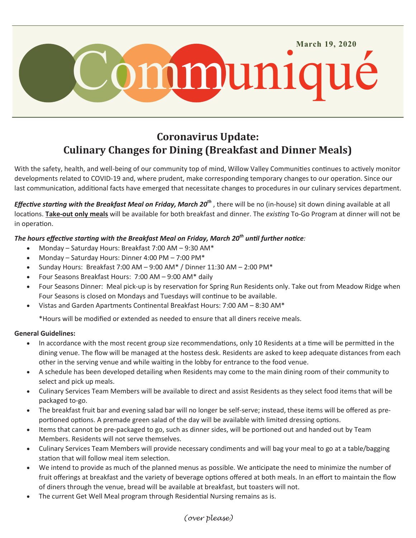

# **Coronavirus Update: Culinary Changes for Dining (Breakfast and Dinner Meals)**

With the safety, health, and well-being of our community top of mind, Willow Valley Communities continues to actively monitor developments related to COVID-19 and, where prudent, make corresponding temporary changes to our operation. Since our last communication, additional facts have emerged that necessitate changes to procedures in our culinary services department.

*Effective starting with the Breakfast Meal on Friday, March 20th* , there will be no (in-house) sit down dining available at all locations. **Take-out only meals** will be available for both breakfast and dinner. The *existing* To-Go Program at dinner will not be in operation.

# *The hours effective starting with the Breakfast Meal on Friday, March 20th until further notice:*

- Monday Saturday Hours: Breakfast 7:00 AM 9:30 AM\*
- Monday Saturday Hours: Dinner 4:00 PM 7:00 PM\*
- Sunday Hours: Breakfast 7:00 AM 9:00 AM\* / Dinner 11:30 AM 2:00 PM\*
- Four Seasons Breakfast Hours: 7:00 AM 9:00 AM\* daily
- Four Seasons Dinner: Meal pick-up is by reservation for Spring Run Residents only. Take out from Meadow Ridge when Four Seasons is closed on Mondays and Tuesdays will continue to be available.
- Vistas and Garden Apartments Continental Breakfast Hours: 7:00 AM 8:30 AM\*

\*Hours will be modified or extended as needed to ensure that all diners receive meals.

### **General Guidelines:**

- In accordance with the most recent group size recommendations, only 10 Residents at a time will be permitted in the dining venue. The flow will be managed at the hostess desk. Residents are asked to keep adequate distances from each other in the serving venue and while waiting in the lobby for entrance to the food venue.
- A schedule has been developed detailing when Residents may come to the main dining room of their community to select and pick up meals.
- Culinary Services Team Members will be available to direct and assist Residents as they select food items that will be packaged to-go.
- The breakfast fruit bar and evening salad bar will no longer be self-serve; instead, these items will be offered as preportioned options. A premade green salad of the day will be available with limited dressing options.
- Items that cannot be pre-packaged to go, such as dinner sides, will be portioned out and handed out by Team Members. Residents will not serve themselves.
- Culinary Services Team Members will provide necessary condiments and will bag your meal to go at a table/bagging station that will follow meal item selection.
- We intend to provide as much of the planned menus as possible. We anticipate the need to minimize the number of fruit offerings at breakfast and the variety of beverage options offered at both meals. In an effort to maintain the flow of diners through the venue, bread will be available at breakfast, but toasters will not.
- The current Get Well Meal program through Residential Nursing remains as is.

# *(over please)*